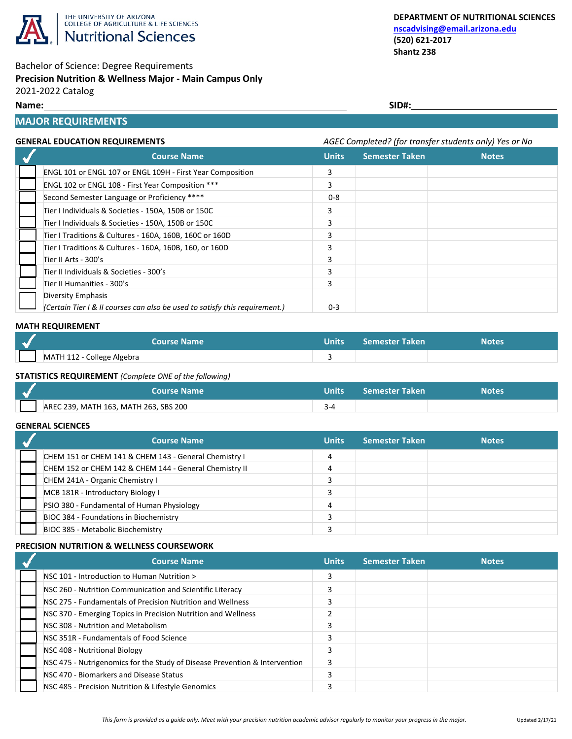

# Bachelor of Science: Degree Requirements

## **Precision Nutrition & Wellness Major - Main Campus Only**

2021-2022 Catalog

## **Name: SID#:**

## **MAJOR REQUIREMENTS**

## **GENERAL EDUCATION REQUIREMENTS** *AGEC Completed? (for transfer students only) Yes or No*

| <b>Course Name</b>                                                          | <b>Units</b> | <b>Semester Taken</b> | <b>Notes</b> |  |
|-----------------------------------------------------------------------------|--------------|-----------------------|--------------|--|
| ENGL 101 or ENGL 107 or ENGL 109H - First Year Composition                  | 3            |                       |              |  |
| ENGL 102 or ENGL 108 - First Year Composition ***                           | 3            |                       |              |  |
| Second Semester Language or Proficiency ****                                | $0 - 8$      |                       |              |  |
| Tier I Individuals & Societies - 150A, 150B or 150C                         | 3            |                       |              |  |
| Tier I Individuals & Societies - 150A, 150B or 150C                         | 3            |                       |              |  |
| Tier I Traditions & Cultures - 160A, 160B, 160C or 160D                     |              |                       |              |  |
| Tier I Traditions & Cultures - 160A, 160B, 160, or 160D                     | з            |                       |              |  |
| Tier II Arts - 300's                                                        |              |                       |              |  |
| Tier II Individuals & Societies - 300's                                     |              |                       |              |  |
| Tier II Humanities - 300's                                                  | 3            |                       |              |  |
| Diversity Emphasis                                                          |              |                       |              |  |
| (Certain Tier I & II courses can also be used to satisfy this requirement.) | $0 - 3$      |                       |              |  |

#### **MATH REQUIREMENT**

|                            | <b>Course Name</b> | Units $\sqrt{ }$ | <b>Semester Taken</b> | <b>Notes</b> |
|----------------------------|--------------------|------------------|-----------------------|--------------|
| MATH 112 - College Algebra |                    |                  |                       |              |

## **STATISTICS REQUIREMENT** *(Complete ONE of the following)*

| <b>Course Name</b>                    | Units | <b>Semester Taken</b> | Notes |
|---------------------------------------|-------|-----------------------|-------|
| AREC 239, MATH 163, MATH 263, SBS 200 |       |                       |       |

#### **GENERAL SCIENCES**

| <b>Course Name</b>                                     | <b>Units</b> | <b>Semester Taken</b> | <b>Notes</b> |
|--------------------------------------------------------|--------------|-----------------------|--------------|
| CHEM 151 or CHEM 141 & CHEM 143 - General Chemistry I  |              |                       |              |
| CHEM 152 or CHEM 142 & CHEM 144 - General Chemistry II |              |                       |              |
| CHEM 241A - Organic Chemistry I                        |              |                       |              |
| MCB 181R - Introductory Biology I                      |              |                       |              |
| PSIO 380 - Fundamental of Human Physiology             |              |                       |              |
| BIOC 384 - Foundations in Biochemistry                 |              |                       |              |
| BIOC 385 - Metabolic Biochemistry                      |              |                       |              |

## **PRECISION NUTRITION & WELLNESS COURSEWORK**

| <b>Course Name</b>                                                         | <b>Units</b> | <b>Semester Taken</b> | <b>Notes</b> |
|----------------------------------------------------------------------------|--------------|-----------------------|--------------|
| NSC 101 - Introduction to Human Nutrition >                                |              |                       |              |
| NSC 260 - Nutrition Communication and Scientific Literacy                  |              |                       |              |
| NSC 275 - Fundamentals of Precision Nutrition and Wellness                 |              |                       |              |
| NSC 370 - Emerging Topics in Precision Nutrition and Wellness              |              |                       |              |
| NSC 308 - Nutrition and Metabolism                                         |              |                       |              |
| NSC 351R - Fundamentals of Food Science                                    |              |                       |              |
| NSC 408 - Nutritional Biology                                              |              |                       |              |
| NSC 475 - Nutrigenomics for the Study of Disease Prevention & Intervention |              |                       |              |
| NSC 470 - Biomarkers and Disease Status                                    |              |                       |              |
| NSC 485 - Precision Nutrition & Lifestyle Genomics                         |              |                       |              |